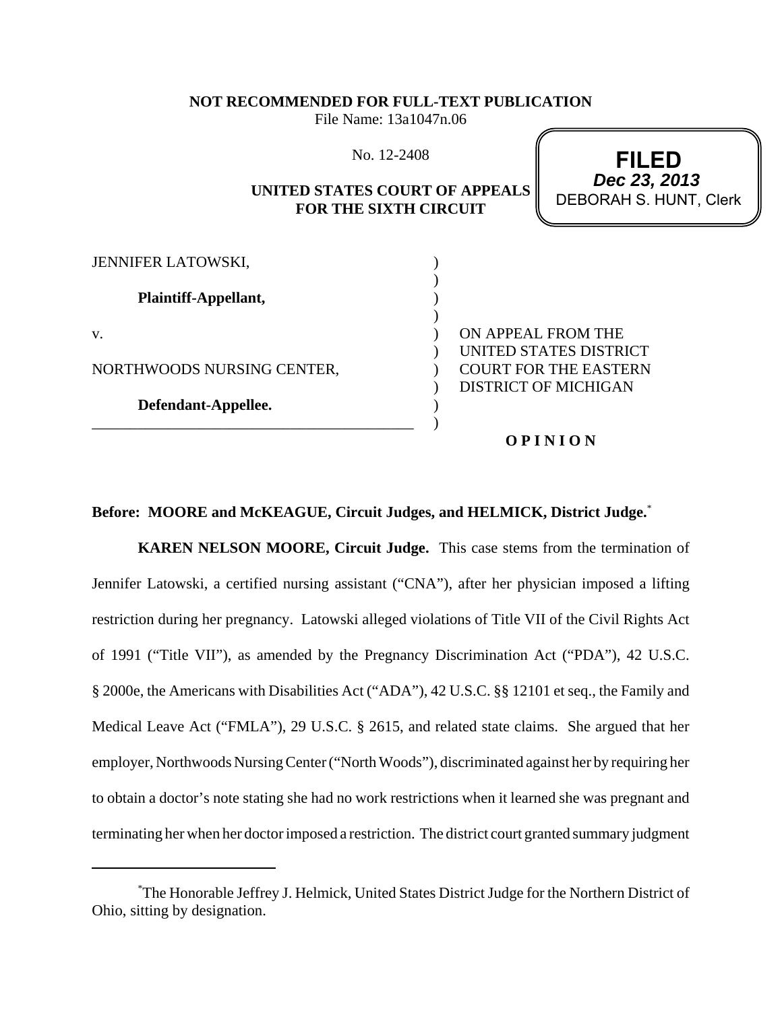#### **NOT RECOMMENDED FOR FULL-TEXT PUBLICATION**

File Name: 13a1047n.06

No. 12-2408

## **UNITED STATES COURT OF APPEALS FOR THE SIXTH CIRCUIT**

**FILED** DEBORAH S. HUNT, Clerk **Dec 23, 2013**

| <b>JENNIFER LATOWSKI,</b>  |                              |
|----------------------------|------------------------------|
| Plaintiff-Appellant,       |                              |
| V.                         | ON APPEAL FROM THE           |
|                            | UNITED STATES DISTRICT       |
| NORTHWOODS NURSING CENTER, | <b>COURT FOR THE EASTERN</b> |
|                            | <b>DISTRICT OF MICHIGAN</b>  |
| Defendant-Appellee.        |                              |
|                            |                              |
|                            | OPINION                      |

#### **Before: MOORE and McKEAGUE, Circuit Judges, and HELMICK, District Judge.**\*

**KAREN NELSON MOORE, Circuit Judge.** This case stems from the termination of Jennifer Latowski, a certified nursing assistant ("CNA"), after her physician imposed a lifting restriction during her pregnancy. Latowski alleged violations of Title VII of the Civil Rights Act of 1991 ("Title VII"), as amended by the Pregnancy Discrimination Act ("PDA"), 42 U.S.C. § 2000e, the Americans with Disabilities Act ("ADA"), 42 U.S.C. §§ 12101 et seq., the Family and Medical Leave Act ("FMLA"), 29 U.S.C. § 2615, and related state claims. She argued that her employer, Northwoods Nursing Center ("North Woods"), discriminated against her by requiring her to obtain a doctor's note stating she had no work restrictions when it learned she was pregnant and terminating her when her doctor imposed a restriction. The district court granted summary judgment

<sup>\*</sup> The Honorable Jeffrey J. Helmick, United States District Judge for the Northern District of Ohio, sitting by designation.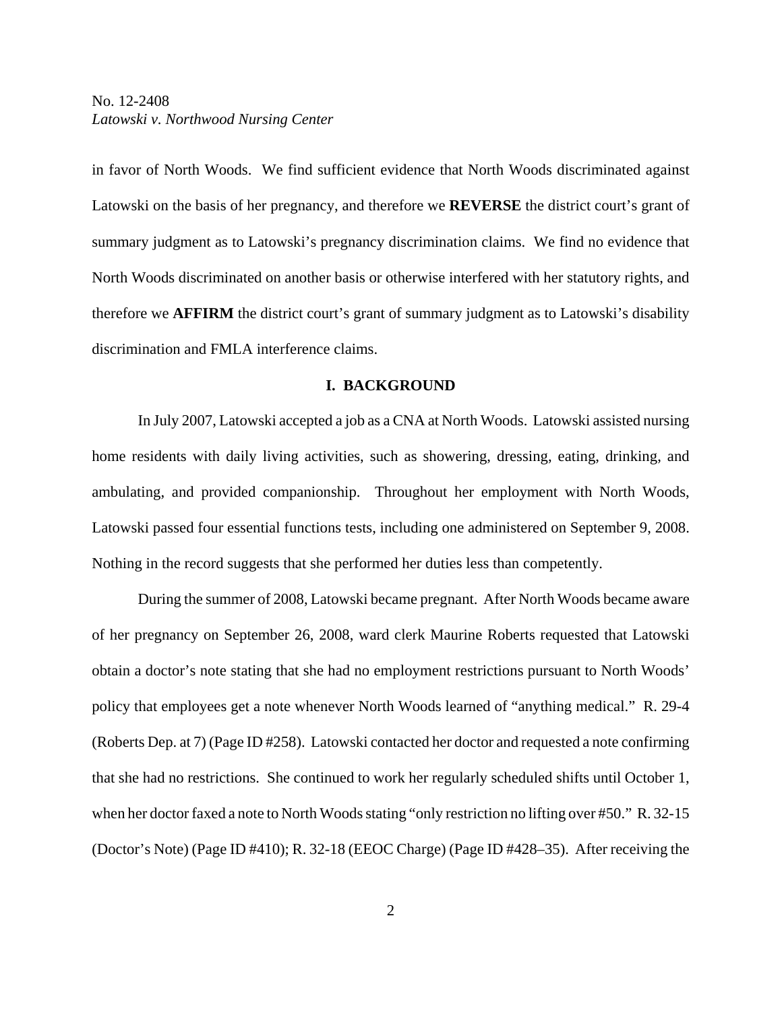in favor of North Woods. We find sufficient evidence that North Woods discriminated against Latowski on the basis of her pregnancy, and therefore we **REVERSE** the district court's grant of summary judgment as to Latowski's pregnancy discrimination claims. We find no evidence that North Woods discriminated on another basis or otherwise interfered with her statutory rights, and therefore we **AFFIRM** the district court's grant of summary judgment as to Latowski's disability discrimination and FMLA interference claims.

#### **I. BACKGROUND**

In July 2007, Latowski accepted a job as a CNA at North Woods. Latowski assisted nursing home residents with daily living activities, such as showering, dressing, eating, drinking, and ambulating, and provided companionship. Throughout her employment with North Woods, Latowski passed four essential functions tests, including one administered on September 9, 2008. Nothing in the record suggests that she performed her duties less than competently.

During the summer of 2008, Latowski became pregnant. After North Woods became aware of her pregnancy on September 26, 2008, ward clerk Maurine Roberts requested that Latowski obtain a doctor's note stating that she had no employment restrictions pursuant to North Woods' policy that employees get a note whenever North Woods learned of "anything medical." R. 29-4 (Roberts Dep. at 7) (Page ID #258). Latowski contacted her doctor and requested a note confirming that she had no restrictions. She continued to work her regularly scheduled shifts until October 1, when her doctor faxed a note to North Woods stating "only restriction no lifting over #50." R. 32-15 (Doctor's Note) (Page ID #410); R. 32-18 (EEOC Charge) (Page ID #428–35). After receiving the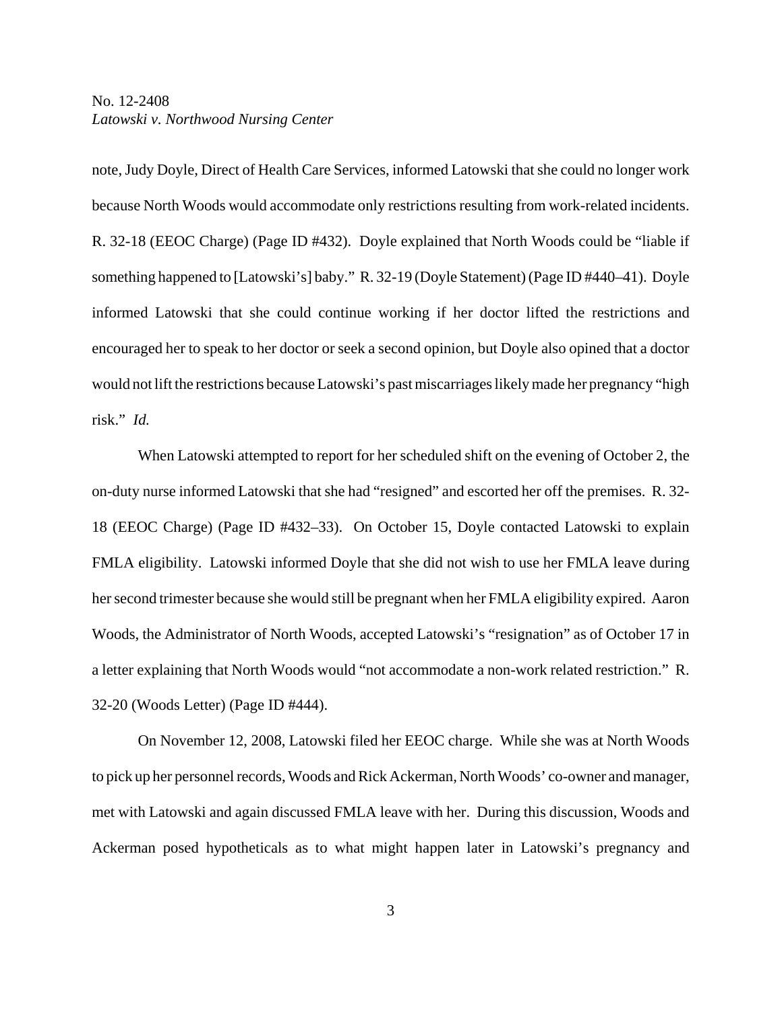note, Judy Doyle, Direct of Health Care Services, informed Latowski that she could no longer work because North Woods would accommodate only restrictions resulting from work-related incidents. R. 32-18 (EEOC Charge) (Page ID #432). Doyle explained that North Woods could be "liable if something happened to [Latowski's] baby." R. 32-19 (Doyle Statement) (Page ID #440–41). Doyle informed Latowski that she could continue working if her doctor lifted the restrictions and encouraged her to speak to her doctor or seek a second opinion, but Doyle also opined that a doctor would not lift the restrictions because Latowski's past miscarriages likely made her pregnancy "high risk." *Id.*

When Latowski attempted to report for her scheduled shift on the evening of October 2, the on-duty nurse informed Latowski that she had "resigned" and escorted her off the premises. R. 32- 18 (EEOC Charge) (Page ID #432–33). On October 15, Doyle contacted Latowski to explain FMLA eligibility. Latowski informed Doyle that she did not wish to use her FMLA leave during her second trimester because she would still be pregnant when her FMLA eligibility expired. Aaron Woods, the Administrator of North Woods, accepted Latowski's "resignation" as of October 17 in a letter explaining that North Woods would "not accommodate a non-work related restriction." R. 32-20 (Woods Letter) (Page ID #444).

On November 12, 2008, Latowski filed her EEOC charge. While she was at North Woods to pick up her personnel records, Woods and Rick Ackerman, North Woods' co-owner and manager, met with Latowski and again discussed FMLA leave with her. During this discussion, Woods and Ackerman posed hypotheticals as to what might happen later in Latowski's pregnancy and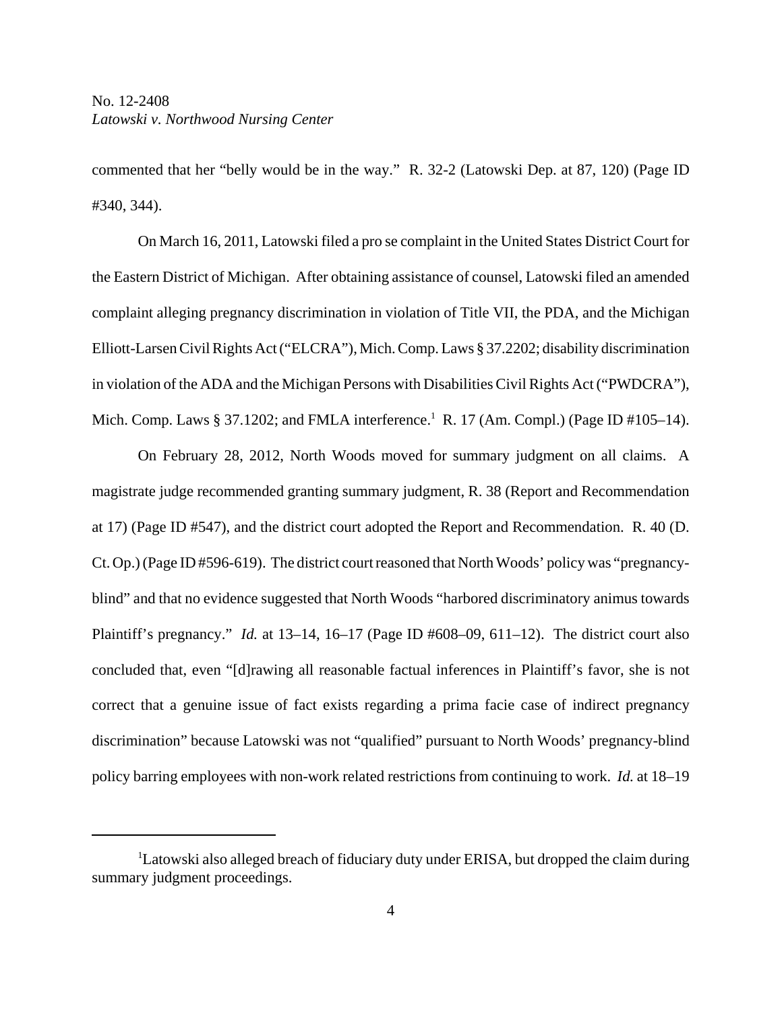commented that her "belly would be in the way." R. 32-2 (Latowski Dep. at 87, 120) (Page ID #340, 344).

On March 16, 2011, Latowski filed a pro se complaint in the United States District Court for the Eastern District of Michigan. After obtaining assistance of counsel, Latowski filed an amended complaint alleging pregnancy discrimination in violation of Title VII, the PDA, and the Michigan Elliott-Larsen Civil Rights Act ("ELCRA"), Mich. Comp. Laws § 37.2202; disability discrimination in violation of the ADA and the Michigan Persons with Disabilities Civil Rights Act ("PWDCRA"), Mich. Comp. Laws § 37.1202; and FMLA interference.<sup>1</sup> R. 17 (Am. Compl.) (Page ID #105–14).

On February 28, 2012, North Woods moved for summary judgment on all claims. A magistrate judge recommended granting summary judgment, R. 38 (Report and Recommendation at 17) (Page ID #547), and the district court adopted the Report and Recommendation. R. 40 (D. Ct. Op.) (Page ID #596-619). The district court reasoned that North Woods' policy was "pregnancyblind" and that no evidence suggested that North Woods "harbored discriminatory animus towards Plaintiff's pregnancy." *Id.* at 13–14, 16–17 (Page ID #608–09, 611–12). The district court also concluded that, even "[d]rawing all reasonable factual inferences in Plaintiff's favor, she is not correct that a genuine issue of fact exists regarding a prima facie case of indirect pregnancy discrimination" because Latowski was not "qualified" pursuant to North Woods' pregnancy-blind policy barring employees with non-work related restrictions from continuing to work. *Id.* at 18–19

<sup>&</sup>lt;sup>1</sup>Latowski also alleged breach of fiduciary duty under ERISA, but dropped the claim during summary judgment proceedings.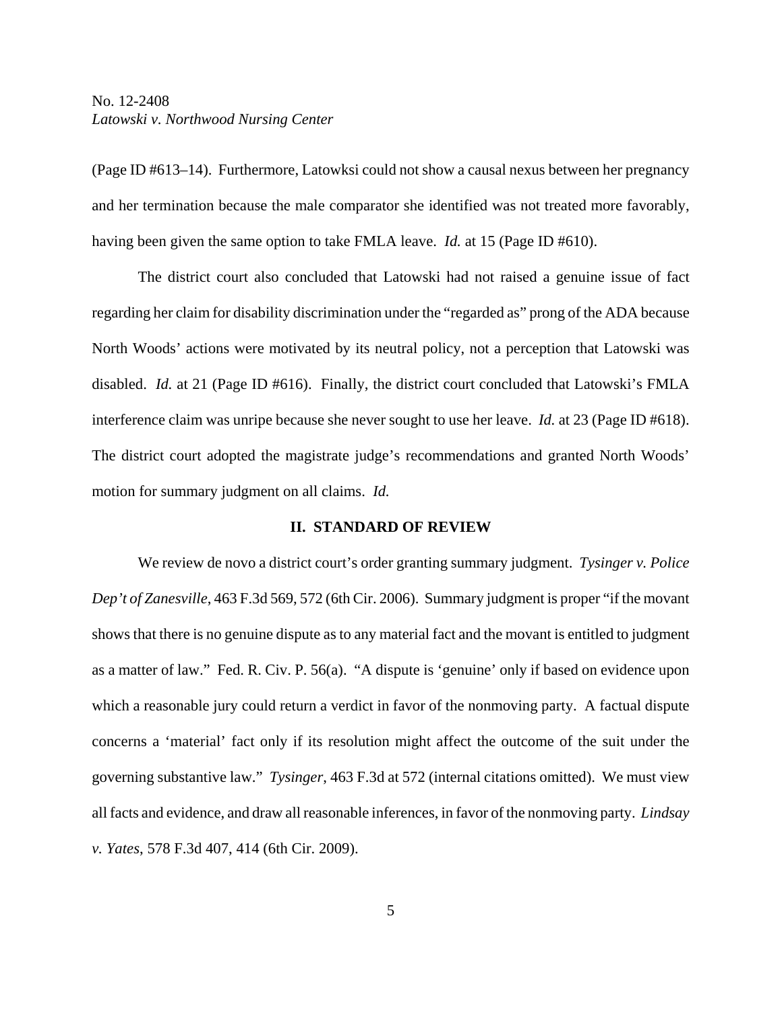(Page ID #613–14). Furthermore, Latowksi could not show a causal nexus between her pregnancy and her termination because the male comparator she identified was not treated more favorably, having been given the same option to take FMLA leave. *Id.* at 15 (Page ID #610).

The district court also concluded that Latowski had not raised a genuine issue of fact regarding her claim for disability discrimination under the "regarded as" prong of the ADA because North Woods' actions were motivated by its neutral policy, not a perception that Latowski was disabled. *Id.* at 21 (Page ID #616). Finally, the district court concluded that Latowski's FMLA interference claim was unripe because she never sought to use her leave. *Id.* at 23 (Page ID #618). The district court adopted the magistrate judge's recommendations and granted North Woods' motion for summary judgment on all claims. *Id.*

#### **II. STANDARD OF REVIEW**

We review de novo a district court's order granting summary judgment. *Tysinger v. Police Dep't of Zanesville*, 463 F.3d 569, 572 (6th Cir. 2006). Summary judgment is proper "if the movant shows that there is no genuine dispute as to any material fact and the movant is entitled to judgment as a matter of law." Fed. R. Civ. P. 56(a). "A dispute is 'genuine' only if based on evidence upon which a reasonable jury could return a verdict in favor of the nonmoving party. A factual dispute concerns a 'material' fact only if its resolution might affect the outcome of the suit under the governing substantive law." *Tysinger*, 463 F.3d at 572 (internal citations omitted). We must view all facts and evidence, and draw all reasonable inferences, in favor of the nonmoving party. *Lindsay v. Yates*, 578 F.3d 407, 414 (6th Cir. 2009).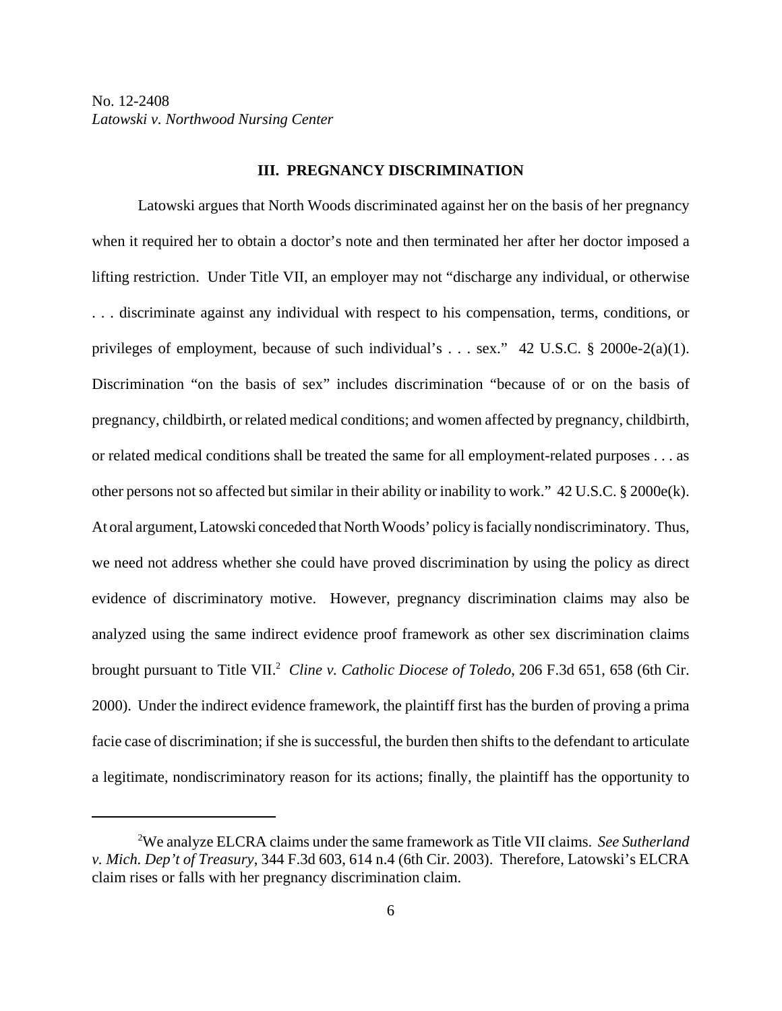#### **III. PREGNANCY DISCRIMINATION**

Latowski argues that North Woods discriminated against her on the basis of her pregnancy when it required her to obtain a doctor's note and then terminated her after her doctor imposed a lifting restriction. Under Title VII, an employer may not "discharge any individual, or otherwise . . . discriminate against any individual with respect to his compensation, terms, conditions, or privileges of employment, because of such individual's . . . sex." 42 U.S.C. § 2000e-2(a)(1). Discrimination "on the basis of sex" includes discrimination "because of or on the basis of pregnancy, childbirth, or related medical conditions; and women affected by pregnancy, childbirth, or related medical conditions shall be treated the same for all employment-related purposes . . . as other persons not so affected but similar in their ability or inability to work." 42 U.S.C. § 2000e(k). At oral argument, Latowski conceded that North Woods' policy is facially nondiscriminatory. Thus, we need not address whether she could have proved discrimination by using the policy as direct evidence of discriminatory motive. However, pregnancy discrimination claims may also be analyzed using the same indirect evidence proof framework as other sex discrimination claims brought pursuant to Title VII.<sup>2</sup> Cline v. Catholic Diocese of Toledo, 206 F.3d 651, 658 (6th Cir. 2000). Under the indirect evidence framework, the plaintiff first has the burden of proving a prima facie case of discrimination; if she is successful, the burden then shifts to the defendant to articulate a legitimate, nondiscriminatory reason for its actions; finally, the plaintiff has the opportunity to

<sup>2</sup> We analyze ELCRA claims under the same framework as Title VII claims. *See Sutherland v. Mich. Dep't of Treasury*, 344 F.3d 603, 614 n.4 (6th Cir. 2003). Therefore, Latowski's ELCRA claim rises or falls with her pregnancy discrimination claim.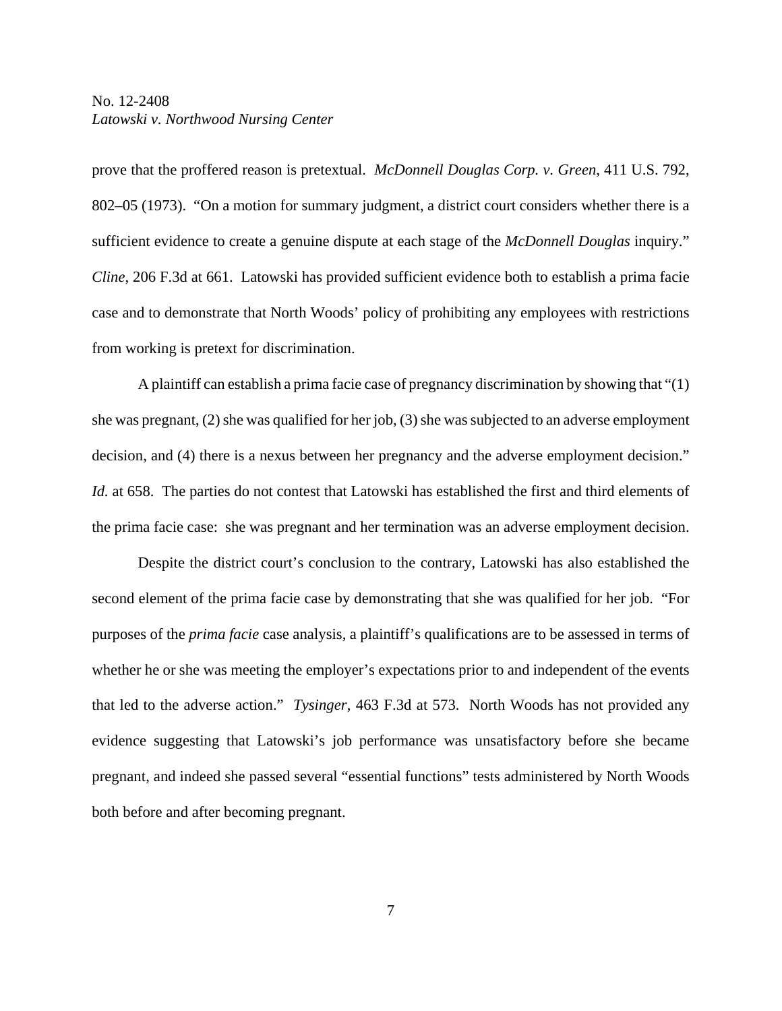prove that the proffered reason is pretextual. *McDonnell Douglas Corp. v. Green*, 411 U.S. 792, 802–05 (1973). "On a motion for summary judgment, a district court considers whether there is a sufficient evidence to create a genuine dispute at each stage of the *McDonnell Douglas* inquiry." *Cline*, 206 F.3d at 661. Latowski has provided sufficient evidence both to establish a prima facie case and to demonstrate that North Woods' policy of prohibiting any employees with restrictions from working is pretext for discrimination.

A plaintiff can establish a prima facie case of pregnancy discrimination by showing that "(1) she was pregnant, (2) she was qualified for her job, (3) she was subjected to an adverse employment decision, and (4) there is a nexus between her pregnancy and the adverse employment decision." *Id.* at 658. The parties do not contest that Latowski has established the first and third elements of the prima facie case: she was pregnant and her termination was an adverse employment decision.

Despite the district court's conclusion to the contrary, Latowski has also established the second element of the prima facie case by demonstrating that she was qualified for her job. "For purposes of the *prima facie* case analysis, a plaintiff's qualifications are to be assessed in terms of whether he or she was meeting the employer's expectations prior to and independent of the events that led to the adverse action." *Tysinger*, 463 F.3d at 573. North Woods has not provided any evidence suggesting that Latowski's job performance was unsatisfactory before she became pregnant, and indeed she passed several "essential functions" tests administered by North Woods both before and after becoming pregnant.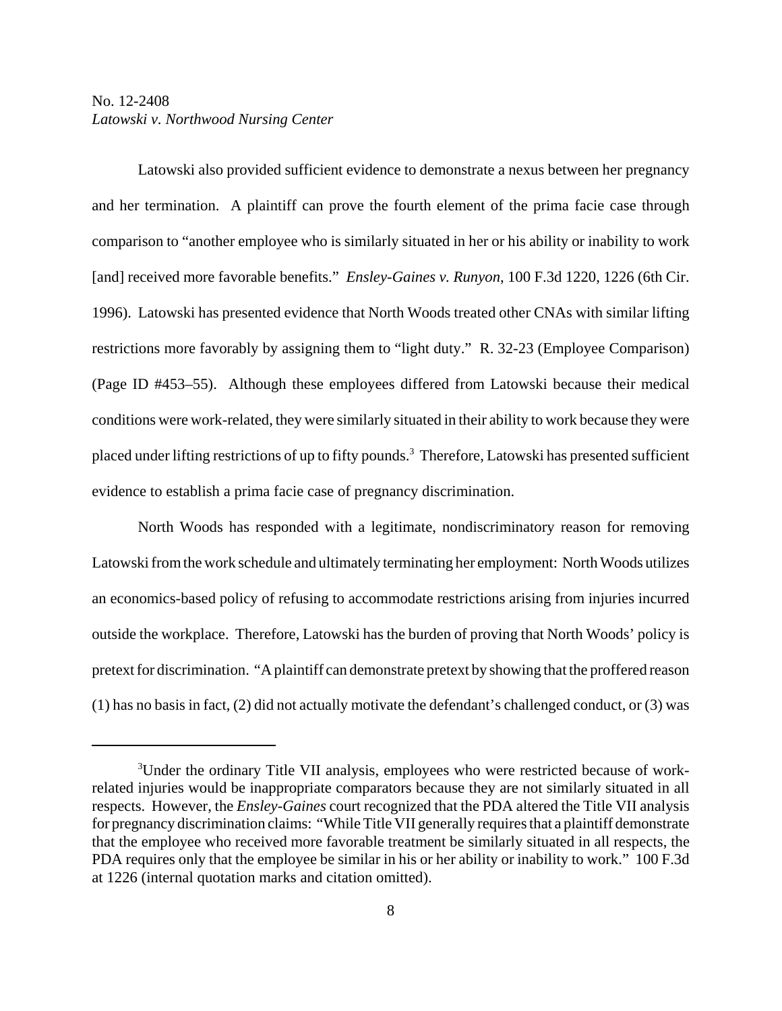Latowski also provided sufficient evidence to demonstrate a nexus between her pregnancy and her termination. A plaintiff can prove the fourth element of the prima facie case through comparison to "another employee who is similarly situated in her or his ability or inability to work [and] received more favorable benefits." *Ensley-Gaines v. Runyon*, 100 F.3d 1220, 1226 (6th Cir. 1996). Latowski has presented evidence that North Woods treated other CNAs with similar lifting restrictions more favorably by assigning them to "light duty." R. 32-23 (Employee Comparison) (Page ID #453–55). Although these employees differed from Latowski because their medical conditions were work-related, they were similarly situated in their ability to work because they were placed under lifting restrictions of up to fifty pounds.<sup>3</sup> Therefore, Latowski has presented sufficient evidence to establish a prima facie case of pregnancy discrimination.

North Woods has responded with a legitimate, nondiscriminatory reason for removing Latowski from the work schedule and ultimately terminating her employment: North Woods utilizes an economics-based policy of refusing to accommodate restrictions arising from injuries incurred outside the workplace. Therefore, Latowski has the burden of proving that North Woods' policy is pretext for discrimination. "A plaintiff can demonstrate pretext by showing that the proffered reason (1) has no basis in fact, (2) did not actually motivate the defendant's challenged conduct, or (3) was

<sup>&</sup>lt;sup>3</sup>Under the ordinary Title VII analysis, employees who were restricted because of workrelated injuries would be inappropriate comparators because they are not similarly situated in all respects. However, the *Ensley-Gaines* court recognized that the PDA altered the Title VII analysis for pregnancy discrimination claims: "While Title VII generally requires that a plaintiff demonstrate that the employee who received more favorable treatment be similarly situated in all respects, the PDA requires only that the employee be similar in his or her ability or inability to work." 100 F.3d at 1226 (internal quotation marks and citation omitted).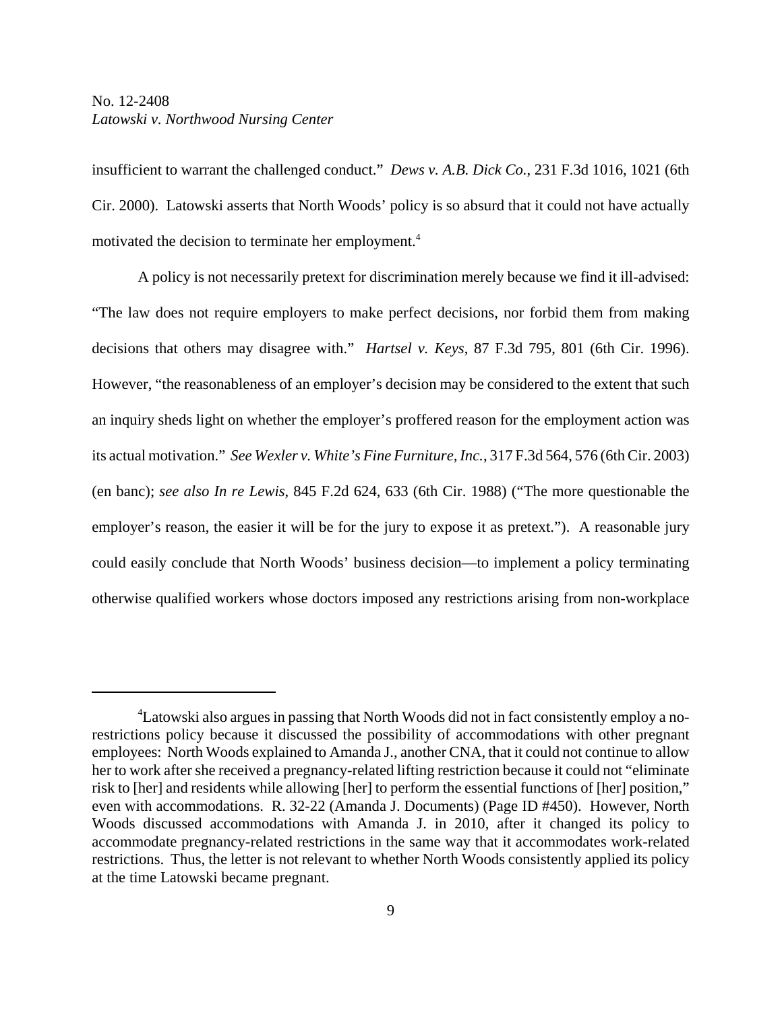insufficient to warrant the challenged conduct." *Dews v. A.B. Dick Co.*, 231 F.3d 1016, 1021 (6th Cir. 2000). Latowski asserts that North Woods' policy is so absurd that it could not have actually motivated the decision to terminate her employment.<sup>4</sup>

A policy is not necessarily pretext for discrimination merely because we find it ill-advised: "The law does not require employers to make perfect decisions, nor forbid them from making decisions that others may disagree with." *Hartsel v. Keys*, 87 F.3d 795, 801 (6th Cir. 1996). However, "the reasonableness of an employer's decision may be considered to the extent that such an inquiry sheds light on whether the employer's proffered reason for the employment action was its actual motivation." *See Wexler v. White's Fine Furniture, Inc.*, 317 F.3d 564, 576 (6th Cir. 2003) (en banc); *see also In re Lewis*, 845 F.2d 624, 633 (6th Cir. 1988) ("The more questionable the employer's reason, the easier it will be for the jury to expose it as pretext."). A reasonable jury could easily conclude that North Woods' business decision—to implement a policy terminating otherwise qualified workers whose doctors imposed any restrictions arising from non-workplace

<sup>4</sup> Latowski also argues in passing that North Woods did not in fact consistently employ a norestrictions policy because it discussed the possibility of accommodations with other pregnant employees: North Woods explained to Amanda J., another CNA, that it could not continue to allow her to work after she received a pregnancy-related lifting restriction because it could not "eliminate risk to [her] and residents while allowing [her] to perform the essential functions of [her] position," even with accommodations. R. 32-22 (Amanda J. Documents) (Page ID #450). However, North Woods discussed accommodations with Amanda J. in 2010, after it changed its policy to accommodate pregnancy-related restrictions in the same way that it accommodates work-related restrictions. Thus, the letter is not relevant to whether North Woods consistently applied its policy at the time Latowski became pregnant.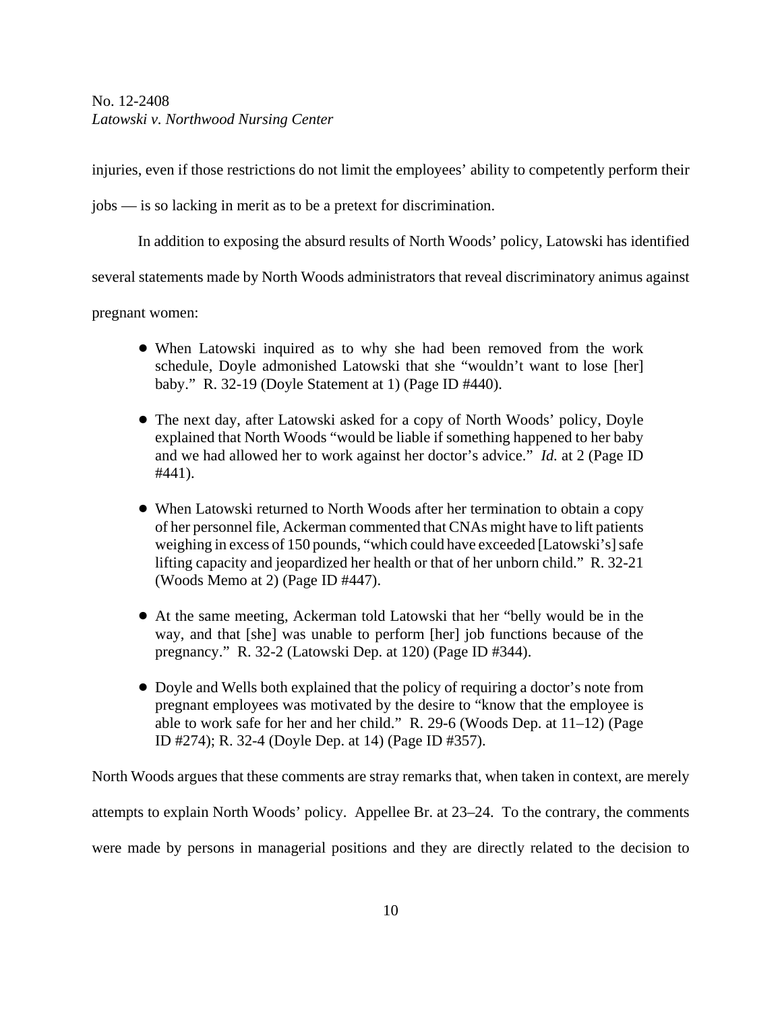injuries, even if those restrictions do not limit the employees' ability to competently perform their

jobs — is so lacking in merit as to be a pretext for discrimination.

In addition to exposing the absurd results of North Woods' policy, Latowski has identified

several statements made by North Woods administrators that reveal discriminatory animus against

pregnant women:

- ! When Latowski inquired as to why she had been removed from the work schedule, Doyle admonished Latowski that she "wouldn't want to lose [her] baby." R. 32-19 (Doyle Statement at 1) (Page ID #440).
- The next day, after Latowski asked for a copy of North Woods' policy, Doyle explained that North Woods "would be liable if something happened to her baby and we had allowed her to work against her doctor's advice." *Id.* at 2 (Page ID #441).
- When Latowski returned to North Woods after her termination to obtain a copy of her personnel file, Ackerman commented that CNAs might have to lift patients weighing in excess of 150 pounds, "which could have exceeded [Latowski's] safe lifting capacity and jeopardized her health or that of her unborn child." R. 32-21 (Woods Memo at 2) (Page ID #447).
- ! At the same meeting, Ackerman told Latowski that her "belly would be in the way, and that [she] was unable to perform [her] job functions because of the pregnancy." R. 32-2 (Latowski Dep. at 120) (Page ID #344).
- Doyle and Wells both explained that the policy of requiring a doctor's note from pregnant employees was motivated by the desire to "know that the employee is able to work safe for her and her child." R. 29-6 (Woods Dep. at 11–12) (Page ID #274); R. 32-4 (Doyle Dep. at 14) (Page ID #357).

North Woods argues that these comments are stray remarks that, when taken in context, are merely attempts to explain North Woods' policy. Appellee Br. at 23–24. To the contrary, the comments were made by persons in managerial positions and they are directly related to the decision to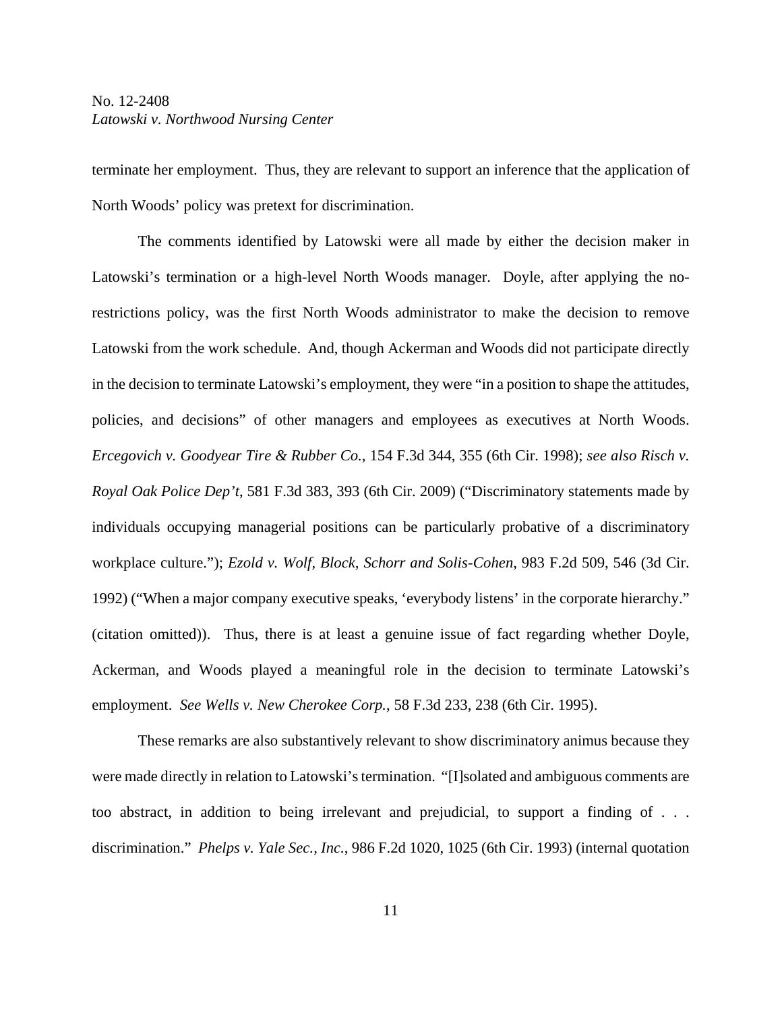terminate her employment. Thus, they are relevant to support an inference that the application of North Woods' policy was pretext for discrimination.

The comments identified by Latowski were all made by either the decision maker in Latowski's termination or a high-level North Woods manager. Doyle, after applying the norestrictions policy, was the first North Woods administrator to make the decision to remove Latowski from the work schedule. And, though Ackerman and Woods did not participate directly in the decision to terminate Latowski's employment, they were "in a position to shape the attitudes, policies, and decisions" of other managers and employees as executives at North Woods. *Ercegovich v. Goodyear Tire & Rubber Co.*, 154 F.3d 344, 355 (6th Cir. 1998); *see also Risch v. Royal Oak Police Dep't*, 581 F.3d 383, 393 (6th Cir. 2009) ("Discriminatory statements made by individuals occupying managerial positions can be particularly probative of a discriminatory workplace culture."); *Ezold v. Wolf, Block, Schorr and Solis-Cohen*, 983 F.2d 509, 546 (3d Cir. 1992) ("When a major company executive speaks, 'everybody listens' in the corporate hierarchy." (citation omitted)). Thus, there is at least a genuine issue of fact regarding whether Doyle, Ackerman, and Woods played a meaningful role in the decision to terminate Latowski's employment. *See Wells v. New Cherokee Corp.*, 58 F.3d 233, 238 (6th Cir. 1995).

These remarks are also substantively relevant to show discriminatory animus because they were made directly in relation to Latowski's termination. "[I]solated and ambiguous comments are too abstract, in addition to being irrelevant and prejudicial, to support a finding of . . . discrimination." *Phelps v. Yale Sec., Inc.*, 986 F.2d 1020, 1025 (6th Cir. 1993) (internal quotation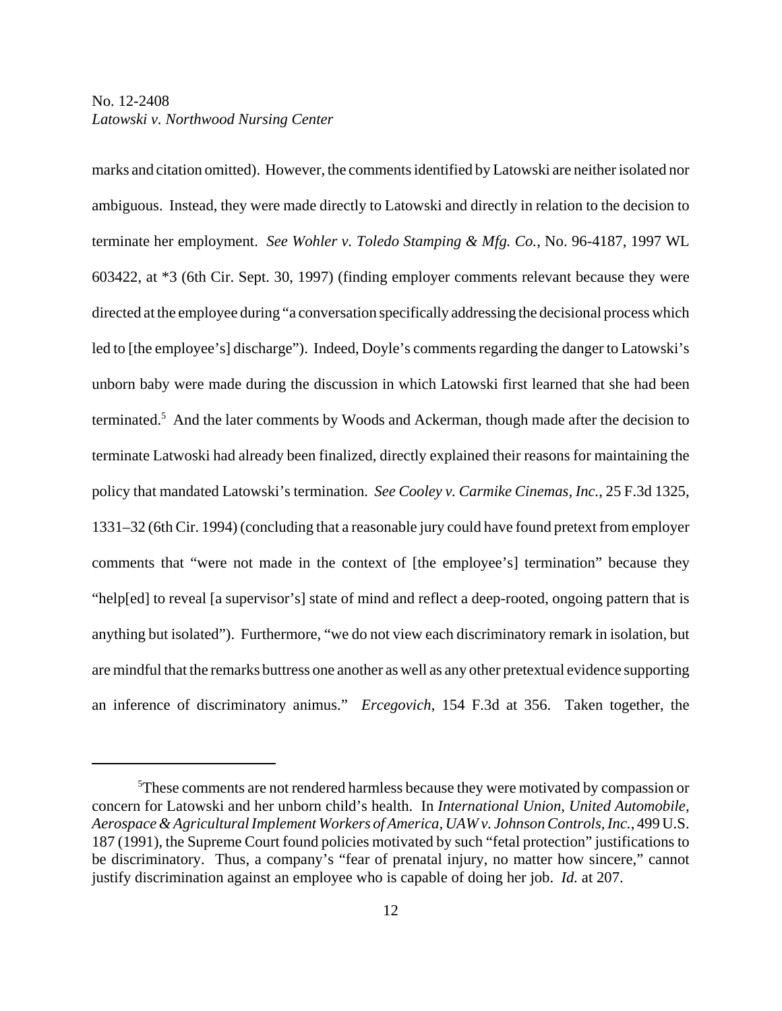marks and citation omitted). However, the comments identified by Latowski are neither isolated nor ambiguous. Instead, they were made directly to Latowski and directly in relation to the decision to terminate her employment. *See Wohler v. Toledo Stamping & Mfg. Co.*, No. 96-4187, 1997 WL 603422, at \*3 (6th Cir. Sept. 30, 1997) (finding employer comments relevant because they were directed at the employee during "a conversation specifically addressing the decisional process which led to [the employee's] discharge"). Indeed, Doyle's comments regarding the danger to Latowski's unborn baby were made during the discussion in which Latowski first learned that she had been terminated.<sup>5</sup> And the later comments by Woods and Ackerman, though made after the decision to terminate Latwoski had already been finalized, directly explained their reasons for maintaining the policy that mandated Latowski's termination. *See Cooley v. Carmike Cinemas, Inc.*, 25 F.3d 1325, 1331–32 (6th Cir. 1994) (concluding that a reasonable jury could have found pretext from employer comments that "were not made in the context of [the employee's] termination" because they "help[ed] to reveal [a supervisor's] state of mind and reflect a deep-rooted, ongoing pattern that is anything but isolated"). Furthermore, "we do not view each discriminatory remark in isolation, but are mindful that the remarks buttress one another as well as any other pretextual evidence supporting an inference of discriminatory animus." *Ercegovich*, 154 F.3d at 356. Taken together, the

<sup>&</sup>lt;sup>5</sup>These comments are not rendered harmless because they were motivated by compassion or concern for Latowski and her unborn child's health. In *International Union, United Automobile, Aerospace & Agricultural Implement Workers of America, UAW v. Johnson Controls, Inc.*, 499 U.S. 187 (1991), the Supreme Court found policies motivated by such "fetal protection" justifications to be discriminatory. Thus, a company's "fear of prenatal injury, no matter how sincere," cannot justify discrimination against an employee who is capable of doing her job. *Id.* at 207.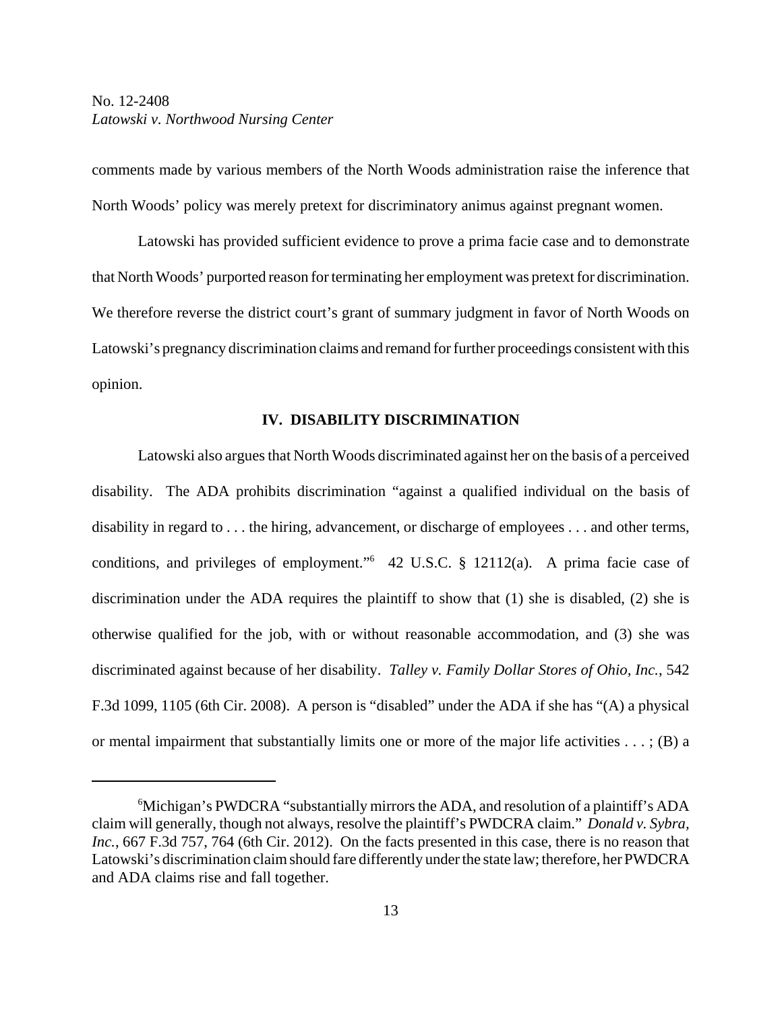comments made by various members of the North Woods administration raise the inference that North Woods' policy was merely pretext for discriminatory animus against pregnant women.

Latowski has provided sufficient evidence to prove a prima facie case and to demonstrate that North Woods' purported reason for terminating her employment was pretext for discrimination. We therefore reverse the district court's grant of summary judgment in favor of North Woods on Latowski's pregnancy discrimination claims and remand for further proceedings consistent with this opinion.

#### **IV. DISABILITY DISCRIMINATION**

Latowski also argues that North Woods discriminated against her on the basis of a perceived disability. The ADA prohibits discrimination "against a qualified individual on the basis of disability in regard to . . . the hiring, advancement, or discharge of employees . . . and other terms, conditions, and privileges of employment."6 42 U.S.C. § 12112(a). A prima facie case of discrimination under the ADA requires the plaintiff to show that (1) she is disabled, (2) she is otherwise qualified for the job, with or without reasonable accommodation, and (3) she was discriminated against because of her disability. *Talley v. Family Dollar Stores of Ohio, Inc.*, 542 F.3d 1099, 1105 (6th Cir. 2008). A person is "disabled" under the ADA if she has "(A) a physical or mental impairment that substantially limits one or more of the major life activities  $\dots$ ; (B) a

<sup>&</sup>lt;sup>6</sup>Michigan's PWDCRA "substantially mirrors the ADA, and resolution of a plaintiff's ADA claim will generally, though not always, resolve the plaintiff's PWDCRA claim." *Donald v. Sybra, Inc.*, 667 F.3d 757, 764 (6th Cir. 2012). On the facts presented in this case, there is no reason that Latowski's discrimination claim should fare differently under the state law; therefore, her PWDCRA and ADA claims rise and fall together.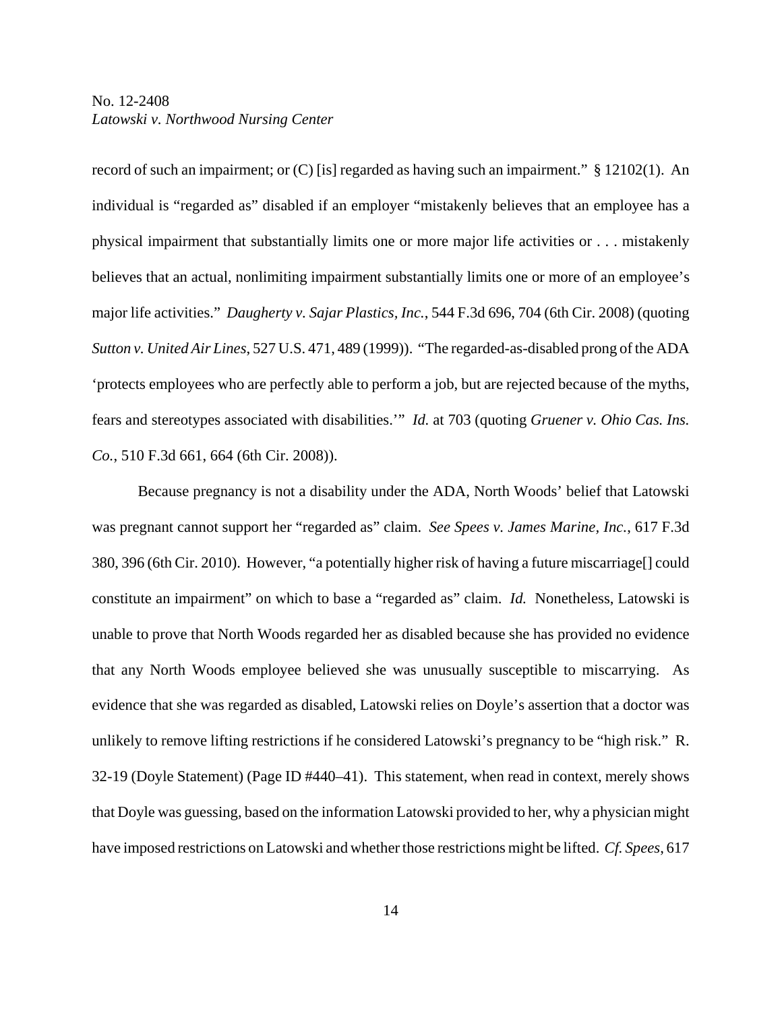record of such an impairment; or (C) [is] regarded as having such an impairment." § 12102(1). An individual is "regarded as" disabled if an employer "mistakenly believes that an employee has a physical impairment that substantially limits one or more major life activities or . . . mistakenly believes that an actual, nonlimiting impairment substantially limits one or more of an employee's major life activities." *Daugherty v. Sajar Plastics, Inc.*, 544 F.3d 696, 704 (6th Cir. 2008) (quoting *Sutton v. United Air Lines*, 527 U.S. 471, 489 (1999)). "The regarded-as-disabled prong of the ADA 'protects employees who are perfectly able to perform a job, but are rejected because of the myths, fears and stereotypes associated with disabilities.'" *Id.* at 703 (quoting *Gruener v. Ohio Cas. Ins. Co.*, 510 F.3d 661, 664 (6th Cir. 2008)).

Because pregnancy is not a disability under the ADA, North Woods' belief that Latowski was pregnant cannot support her "regarded as" claim. *See Spees v. James Marine, Inc.*, 617 F.3d 380, 396 (6th Cir. 2010). However, "a potentially higher risk of having a future miscarriage[] could constitute an impairment" on which to base a "regarded as" claim. *Id.* Nonetheless, Latowski is unable to prove that North Woods regarded her as disabled because she has provided no evidence that any North Woods employee believed she was unusually susceptible to miscarrying. As evidence that she was regarded as disabled, Latowski relies on Doyle's assertion that a doctor was unlikely to remove lifting restrictions if he considered Latowski's pregnancy to be "high risk." R. 32-19 (Doyle Statement) (Page ID #440–41). This statement, when read in context, merely shows that Doyle was guessing, based on the information Latowski provided to her, why a physician might have imposed restrictions on Latowski and whether those restrictions might be lifted. *Cf. Spees*, 617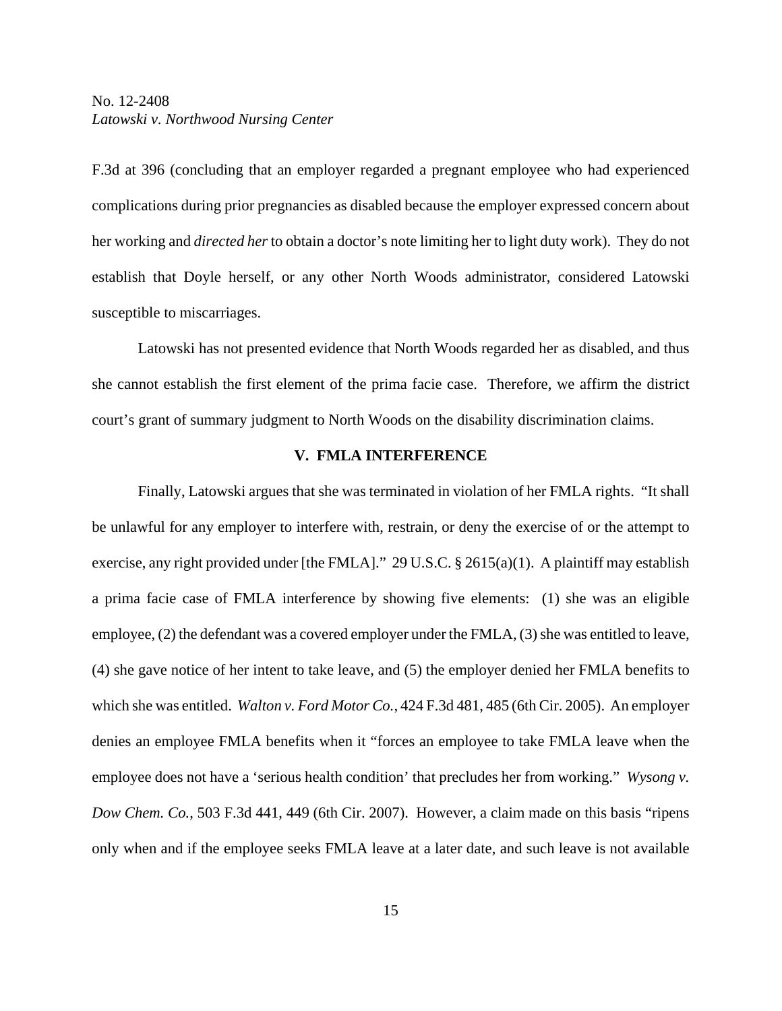F.3d at 396 (concluding that an employer regarded a pregnant employee who had experienced complications during prior pregnancies as disabled because the employer expressed concern about her working and *directed her* to obtain a doctor's note limiting her to light duty work). They do not establish that Doyle herself, or any other North Woods administrator, considered Latowski susceptible to miscarriages.

Latowski has not presented evidence that North Woods regarded her as disabled, and thus she cannot establish the first element of the prima facie case. Therefore, we affirm the district court's grant of summary judgment to North Woods on the disability discrimination claims.

#### **V. FMLA INTERFERENCE**

Finally, Latowski argues that she was terminated in violation of her FMLA rights. "It shall be unlawful for any employer to interfere with, restrain, or deny the exercise of or the attempt to exercise, any right provided under [the FMLA]." 29 U.S.C.  $\S 2615(a)(1)$ . A plaintiff may establish a prima facie case of FMLA interference by showing five elements: (1) she was an eligible employee, (2) the defendant was a covered employer under the FMLA, (3) she was entitled to leave, (4) she gave notice of her intent to take leave, and (5) the employer denied her FMLA benefits to which she was entitled. *Walton v. Ford Motor Co.*, 424 F.3d 481, 485 (6th Cir. 2005). An employer denies an employee FMLA benefits when it "forces an employee to take FMLA leave when the employee does not have a 'serious health condition' that precludes her from working." *Wysong v. Dow Chem. Co.*, 503 F.3d 441, 449 (6th Cir. 2007). However, a claim made on this basis "ripens only when and if the employee seeks FMLA leave at a later date, and such leave is not available